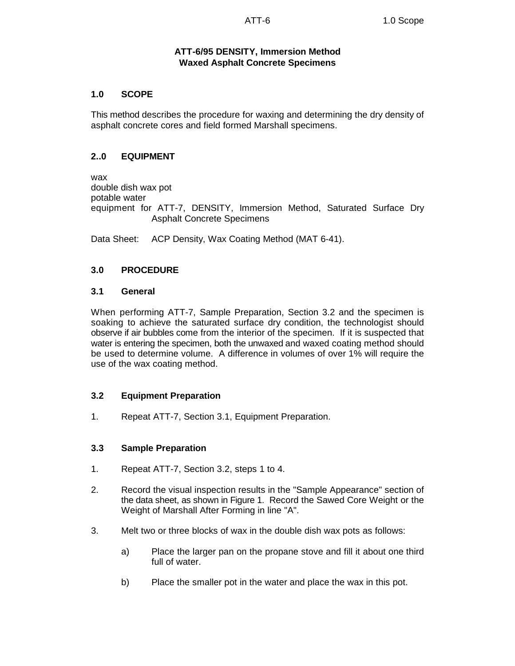# **ATT-6/95 DENSITY, Immersion Method Waxed Asphalt Concrete Specimens**

## **1.0 SCOPE**

This method describes the procedure for waxing and determining the dry density of asphalt concrete cores and field formed Marshall specimens.

#### **2..0 EQUIPMENT**

wax double dish wax pot potable water equipment for ATT-7, DENSITY, Immersion Method, Saturated Surface Dry Asphalt Concrete Specimens

Data Sheet: ACP Density, Wax Coating Method (MAT 6-41).

## **3.0 PROCEDURE**

#### **3.1 General**

When performing ATT-7, Sample Preparation, Section 3.2 and the specimen is soaking to achieve the saturated surface dry condition, the technologist should observe if air bubbles come from the interior of the specimen. If it is suspected that water is entering the specimen, both the unwaxed and waxed coating method should be used to determine volume. A difference in volumes of over 1% will require the use of the wax coating method.

## **3.2 Equipment Preparation**

1. Repeat ATT-7, Section 3.1, Equipment Preparation.

## **3.3 Sample Preparation**

- 1. Repeat ATT-7, Section 3.2, steps 1 to 4.
- 2. Record the visual inspection results in the "Sample Appearance" section of the data sheet, as shown in Figure 1. Record the Sawed Core Weight or the Weight of Marshall After Forming in line "A".
- 3. Melt two or three blocks of wax in the double dish wax pots as follows:
	- a) Place the larger pan on the propane stove and fill it about one third full of water.
	- b) Place the smaller pot in the water and place the wax in this pot.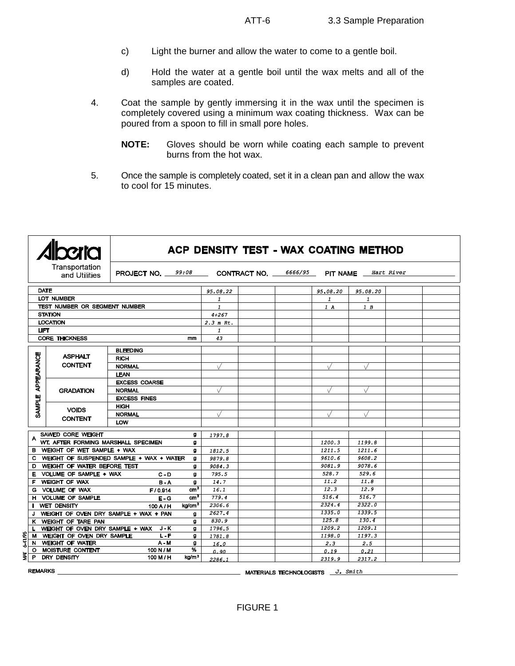- c) Light the burner and allow the water to come to a gentle boil.
- d) Hold the water at a gentle boil until the wax melts and all of the samples are coated.
- 4. Coat the sample by gently immersing it in the wax until the specimen is completely covered using a minimum wax coating thickness. Wax can be poured from a spoon to fill in small pore holes.
	- **NOTE:** Gloves should be worn while coating each sample to prevent burns from the hot wax.
- 5. Once the sample is completely coated, set it in a clean pan and allow the wax to cool for 15 minutes.

|                                   |                                                 | ACP DENSITY TEST - WAX COATING METHOD |                                                                   |           |  |              |              |          |  |
|-----------------------------------|-------------------------------------------------|---------------------------------------|-------------------------------------------------------------------|-----------|--|--------------|--------------|----------|--|
|                                   | Transportation<br>and Utilities                 |                                       | <b>PROJECT NO.</b> 99:08 CONTRACT NO. 6666/95 PIT NAME Hart River |           |  |              |              |          |  |
| <b>DATE</b>                       |                                                 |                                       |                                                                   | 95.08.22  |  |              | 95.08.20     | 95.08.20 |  |
| LOT NUMBER                        |                                                 |                                       | $\mathbf{1}$                                                      |           |  | $\mathbf{1}$ | $\mathbf{1}$ |          |  |
| TEST NUMBER OR SEGMENT NUMBER     |                                                 |                                       | $\mathbf{I}$                                                      |           |  | 1A           | 1B           |          |  |
| <b>STATION</b>                    |                                                 |                                       | $4 + 267$                                                         |           |  |              |              |          |  |
| <b>LOCATION</b>                   |                                                 |                                       | $2.3$ m Rt.                                                       |           |  |              |              |          |  |
| <b>LIFT</b>                       |                                                 |                                       | $\mathbf{1}$                                                      |           |  |              |              |          |  |
| <b>CORE THICKNESS</b><br>mm       |                                                 |                                       | 43                                                                |           |  |              |              |          |  |
|                                   |                                                 |                                       |                                                                   |           |  |              |              |          |  |
|                                   | <b>ASPHALT</b>                                  | <b>BLEEDING</b>                       |                                                                   |           |  |              |              |          |  |
|                                   | <b>CONTENT</b>                                  | <b>RICH</b>                           |                                                                   |           |  |              |              |          |  |
| <b>APPEARANCE</b>                 |                                                 | <b>NORMAL</b>                         |                                                                   | $\sqrt{}$ |  |              | V            | V        |  |
|                                   | <b>LEAN</b>                                     |                                       |                                                                   |           |  |              |              |          |  |
|                                   | <b>GRADATION</b>                                | <b>EXCESS COARSE</b>                  |                                                                   |           |  |              |              |          |  |
|                                   |                                                 | <b>NORMAL</b>                         |                                                                   |           |  |              | $\sqrt{}$    |          |  |
| <b>SAMPLE</b>                     | <b>EXCESS FINES</b>                             |                                       |                                                                   |           |  |              |              |          |  |
|                                   | <b>VOIDS</b>                                    | <b>HIGH</b>                           |                                                                   |           |  |              |              |          |  |
|                                   | <b>CONTENT</b>                                  | <b>NORMAL</b>                         |                                                                   |           |  |              |              |          |  |
|                                   |                                                 | LOW                                   |                                                                   |           |  |              |              |          |  |
| SAWED CORE WEIGHT<br>g            |                                                 |                                       |                                                                   | 1797.8    |  |              |              |          |  |
|                                   | WT. AFTER FORMING MARSHALL SPECIMEN             |                                       | g                                                                 |           |  |              | 1200.3       | 1199.8   |  |
| B WEIGHT OF WET SAMPLE + WAX<br>9 |                                                 |                                       | 1812.5                                                            |           |  | 1211.5       | 1211.6       |          |  |
|                                   | C WEIGHT OF SUSPENDED SAMPLE + WAX + WATER<br>g |                                       |                                                                   | 9879.8    |  |              | 9610.6       | 9608.2   |  |
|                                   | D WEIGHT OF WATER BEFORE TEST                   |                                       | g                                                                 | 9084.3    |  |              | 9081.9       | 9078.6   |  |
|                                   | E VOLUME OF SAMPLE + WAX                        | $C - D$                               | g                                                                 | 795.5     |  |              | 528.7        | 529.6    |  |
|                                   | F WEIGHT OF WAX                                 | $B - A$                               | g                                                                 | 14.7      |  |              | 11.2         | 11.8     |  |
|                                   | G VOLUME OF WAX                                 | F/0.914                               | cm <sup>3</sup>                                                   | 16.1      |  |              | 12.3         | 12.9     |  |
|                                   | H VOLUME OF SAMPLE                              | $E - G$                               | cm <sup>3</sup>                                                   | 779.4     |  |              | 516.4        | 516.7    |  |
|                                   | <b>WET DENSITY</b>                              | $100$ A $/$ H                         | ka/cm <sup>3</sup>                                                | 2306.6    |  |              | 2324.4       | 2322.0   |  |
| J.                                | WEIGHT OF OVEN DRY SAMPLE + WAX + PAN           |                                       | g                                                                 | 2627.4    |  |              | 1335.0       | 1339.5   |  |
|                                   | K WEIGHT OF TARE PAN                            |                                       | g                                                                 | 830.9     |  |              | 125.8        | 130.4    |  |
|                                   | L WEIGHT OF OVEN DRY SAMPLE + WAX J-K           |                                       | g                                                                 | 1796.5    |  |              | 1209.2       | 1209.1   |  |
| 6-41/95                           | M WEIGHT OF OVEN DRY SAMPLE                     | $L - F$                               | g                                                                 | 1781.8    |  |              | 1198.0       | 1197.3   |  |
|                                   | N WEIGHT OF WATER                               | A - M                                 | g                                                                 | 16.0      |  |              | 2.3          | 2.5      |  |
|                                   | O MOISTURE CONTENT                              | 100 N / M                             | %                                                                 | 0.90      |  |              | 0.19         | 0.21     |  |
|                                   | $\frac{1}{2}$ P DRY DENSITY                     | 100 M / H                             | kg/m <sup>3</sup>                                                 | 2286.1    |  |              | 2319.9       | 2317.2   |  |

**REMARKS** 

MATERIALS TECHNOLOGISTS J. Smith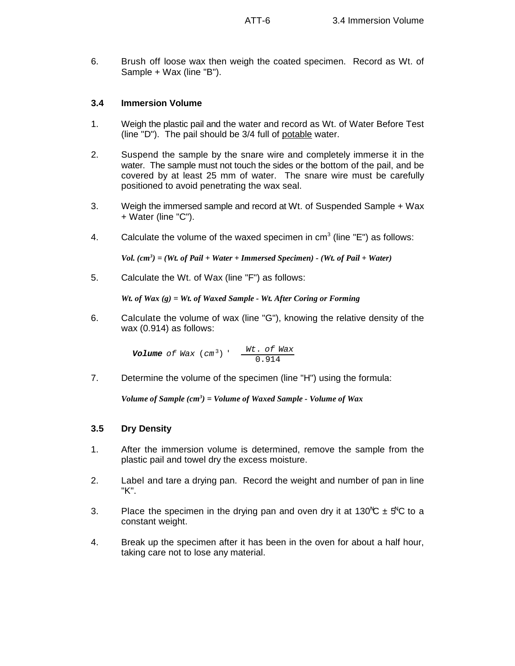6. Brush off loose wax then weigh the coated specimen. Record as Wt. of Sample + Wax (line "B").

# **3.4 Immersion Volume**

- 1. Weigh the plastic pail and the water and record as Wt. of Water Before Test (line "D"). The pail should be 3/4 full of potable water.
- 2. Suspend the sample by the snare wire and completely immerse it in the water. The sample must not touch the sides or the bottom of the pail, and be covered by at least 25 mm of water. The snare wire must be carefully positioned to avoid penetrating the wax seal.
- 3. Weigh the immersed sample and record at Wt. of Suspended Sample + Wax + Water (line "C").
- 4. Calculate the volume of the waxed specimen in  $cm<sup>3</sup>$  (line "E") as follows:

 $Vol.$   $(cm^3) = (Wt.$  of Pail + Water + Immersed Specimen) - (Wt. of Pail + Water)

5. Calculate the Wt. of Wax (line "F") as follows:

*Wt. of Wax (g) = Wt. of Waxed Sample - Wt. After Coring or Forming*

6. Calculate the volume of wax (line "G"), knowing the relative density of the wax (0.914) as follows:

> *Volume of Wax* (*cm*<sup>3</sup>) ' *Wt*. *of Wax* 0.914

7. Determine the volume of the specimen (line "H") using the formula:

*Volume of Sample*  $(cm^3) = Volume$  *of Waxed Sample - Volume of Wax* 

## **3.5 Dry Density**

- 1. After the immersion volume is determined, remove the sample from the plastic pail and towel dry the excess moisture.
- 2. Label and tare a drying pan. Record the weight and number of pan in line "K".
- 3. Place the specimen in the drying pan and oven dry it at 130<sup>N</sup>C  $\pm$  5<sup>N</sup>C to a constant weight.
- 4. Break up the specimen after it has been in the oven for about a half hour, taking care not to lose any material.